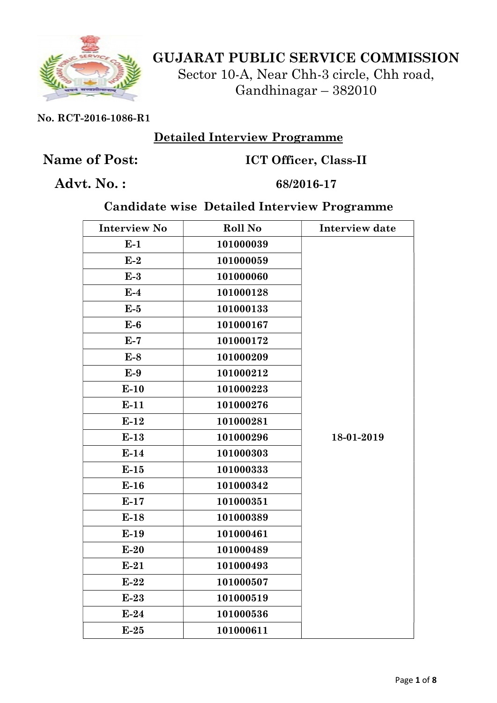

## GUJARAT PUBLIC SERVICE COMMISSION

Sector 10-A, Near Chh-3 circle, Chh road, Gandhinagar – 382010

No. RCT-2016-1086-R1

## Detailed Interview Programme

Name of Post: ICT Officer, Class-II

Advt. No.: 68/2016-17

## Candidate wise Detailed Interview Programme

| <b>Interview No</b> | <b>Roll No</b> | Interview date |
|---------------------|----------------|----------------|
| $E-1$               | 101000039      |                |
| $E-2$               | 101000059      |                |
| $E-3$               | 101000060      |                |
| $E-4$               | 101000128      |                |
| $E-5$               | 101000133      |                |
| $E-6$               | 101000167      |                |
| $E-7$               | 101000172      |                |
| $E-8$               | 101000209      |                |
| $E-9$               | 101000212      |                |
| $E-10$              | 101000223      |                |
| $E-11$              | 101000276      |                |
| $E-12$              | 101000281      |                |
| $E-13$              | 101000296      | 18-01-2019     |
| $E-14$              | 101000303      |                |
| $E-15$              | 101000333      |                |
| $E-16$              | 101000342      |                |
| $E-17$              | 101000351      |                |
| $E-18$              | 101000389      |                |
| $E-19$              | 101000461      |                |
| $E-20$              | 101000489      |                |
| $E-21$              | 101000493      |                |
| $E-22$              | 101000507      |                |
| $E-23$              | 101000519      |                |
| $E-24$              | 101000536      |                |
| $E-25$              | 101000611      |                |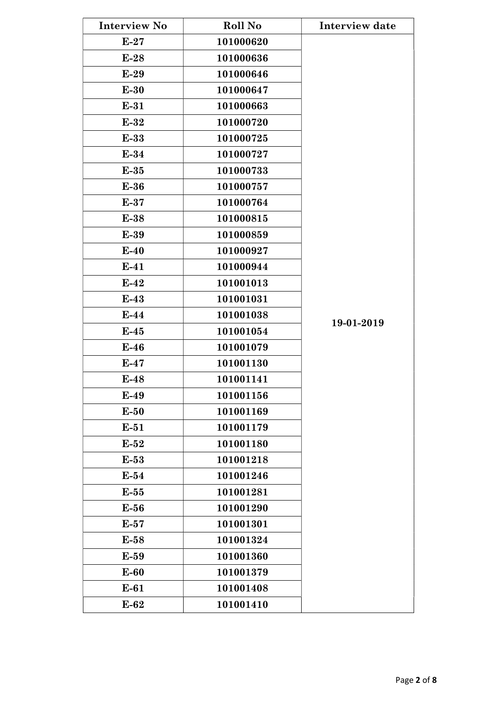| <b>Interview No</b> | Roll No   | Interview date |
|---------------------|-----------|----------------|
| $E-27$              | 101000620 |                |
| $E-28$              | 101000636 |                |
| $E-29$              | 101000646 |                |
| $E-30$              | 101000647 |                |
| $E-31$              | 101000663 |                |
| $E-32$              | 101000720 |                |
| $E-33$              | 101000725 |                |
| $E-34$              | 101000727 |                |
| $E-35$              | 101000733 |                |
| $E-36$              | 101000757 |                |
| $E-37$              | 101000764 |                |
| $E-38$              | 101000815 |                |
| E-39                | 101000859 |                |
| $E-40$              | 101000927 |                |
| $E-41$              | 101000944 |                |
| $E-42$              | 101001013 |                |
| $E-43$              | 101001031 |                |
| $E-44$              | 101001038 | 19-01-2019     |
| $E-45$              | 101001054 |                |
| $E-46$              | 101001079 |                |
| $E-47$              | 101001130 |                |
| $E-48$              | 101001141 |                |
| E-49                | 101001156 |                |
| $E-50$              | 101001169 |                |
| $E-51$              | 101001179 |                |
| $E-52$              | 101001180 |                |
| $E-53$              | 101001218 |                |
| $E-54$              | 101001246 |                |
| $E-55$              | 101001281 |                |
| $E-56$              | 101001290 |                |
| $E-57$              | 101001301 |                |
| $E-58$              | 101001324 |                |
| $E-59$              | 101001360 |                |
| $E-60$              | 101001379 |                |
| $E-61$              | 101001408 |                |
| $E-62$              | 101001410 |                |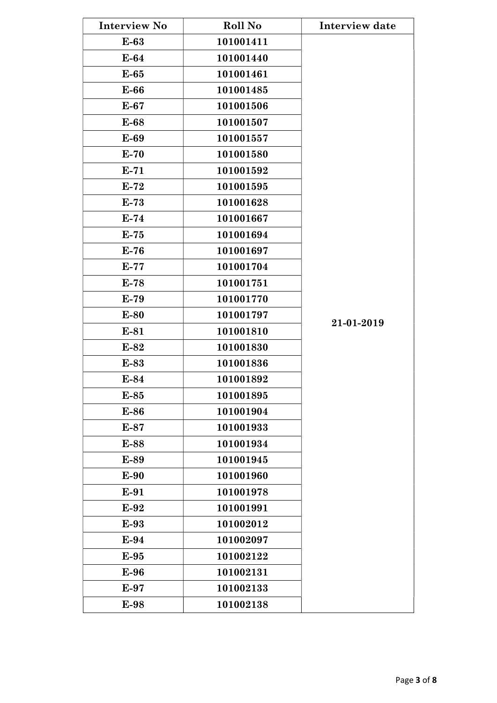| <b>Interview No</b> | Roll No   | Interview date |
|---------------------|-----------|----------------|
| $E-63$              | 101001411 |                |
| $E-64$              | 101001440 |                |
| $E-65$              | 101001461 |                |
| $E-66$              | 101001485 |                |
| $E-67$              | 101001506 |                |
| $E-68$              | 101001507 |                |
| $E-69$              | 101001557 |                |
| $E-70$              | 101001580 |                |
| $E-71$              | 101001592 |                |
| $E-72$              | 101001595 |                |
| $E-73$              | 101001628 |                |
| $E-74$              | 101001667 |                |
| $E-75$              | 101001694 |                |
| $E-76$              | 101001697 |                |
| $E-77$              | 101001704 |                |
| $E-78$              | 101001751 |                |
| $E-79$              | 101001770 |                |
| $E-80$              | 101001797 | 21-01-2019     |
| $E-81$              | 101001810 |                |
| $E-82$              | 101001830 |                |
| $E-83$              | 101001836 |                |
| E-84                | 101001892 |                |
| $E-85$              | 101001895 |                |
| $E-86$              | 101001904 |                |
| $E-87$              | 101001933 |                |
| E-88                | 101001934 |                |
| E-89                | 101001945 |                |
| $E-90$              | 101001960 |                |
| $E-91$              | 101001978 |                |
| $E-92$              | 101001991 |                |
| <b>E-93</b>         | 101002012 |                |
| $E-94$              | 101002097 |                |
| $E-95$              | 101002122 |                |
| $E-96$              | 101002131 |                |
| $E-97$              | 101002133 |                |
| E-98                | 101002138 |                |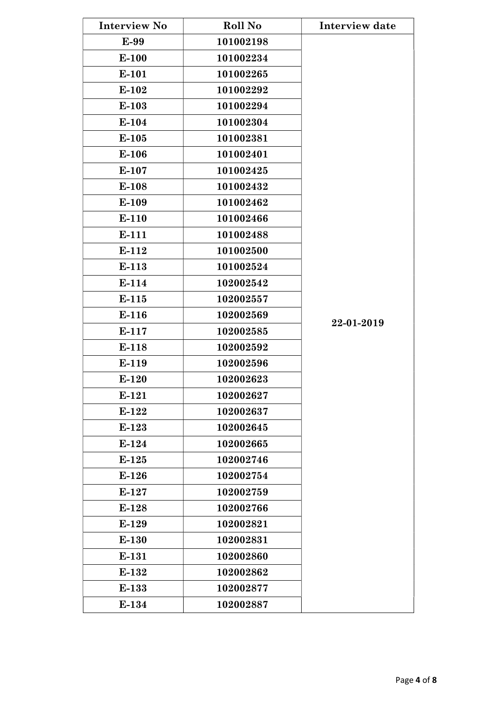| <b>Interview No</b> | Roll No   | Interview date |
|---------------------|-----------|----------------|
| E-99                | 101002198 |                |
| $E-100$             | 101002234 |                |
| $E-101$             | 101002265 |                |
| $E-102$             | 101002292 |                |
| $E-103$             | 101002294 |                |
| $E-104$             | 101002304 |                |
| $E-105$             | 101002381 |                |
| $E-106$             | 101002401 |                |
| $E-107$             | 101002425 |                |
| $E-108$             | 101002432 |                |
| $E-109$             | 101002462 |                |
| $E-110$             | 101002466 |                |
| E-111               | 101002488 |                |
| $E-112$             | 101002500 |                |
| $E-113$             | 101002524 |                |
| $E-114$             | 102002542 |                |
| $E-115$             | 102002557 |                |
| $E-116$             | 102002569 | 22-01-2019     |
| E-117               | 102002585 |                |
| $E-118$             | 102002592 |                |
| E-119               | 102002596 |                |
| $E-120$             | 102002623 |                |
| $E-121$             | 102002627 |                |
| $E-122$             | 102002637 |                |
| $E-123$             | 102002645 |                |
| $E-124$             | 102002665 |                |
| $E-125$             | 102002746 |                |
| $E-126$             | 102002754 |                |
| $E-127$             | 102002759 |                |
| $E-128$             | 102002766 |                |
| $E-129$             | 102002821 |                |
| $E-130$             | 102002831 |                |
| E-131               | 102002860 |                |
| E-132               | 102002862 |                |
| E-133               | 102002877 |                |
| E-134               | 102002887 |                |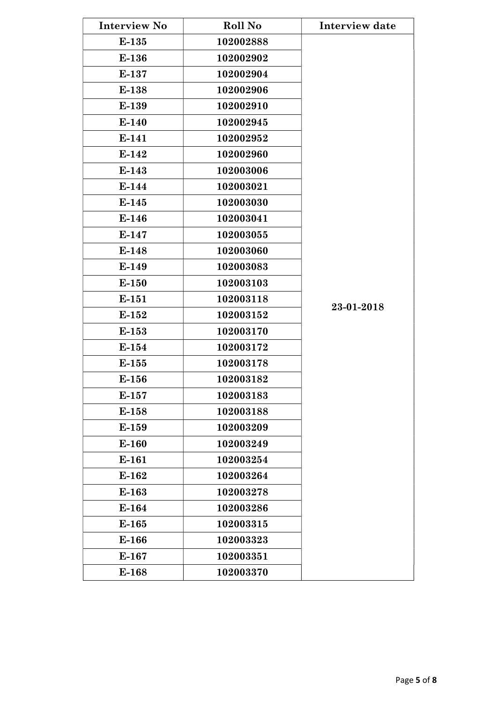| <b>Interview No</b> | Roll No   | Interview date |
|---------------------|-----------|----------------|
| $E-135$             | 102002888 |                |
| $E-136$             | 102002902 |                |
| $E-137$             | 102002904 |                |
| E-138               | 102002906 |                |
| E-139               | 102002910 |                |
| $E-140$             | 102002945 |                |
| $E-141$             | 102002952 |                |
| $E-142$             | 102002960 |                |
| $E-143$             | 102003006 |                |
| E-144               | 102003021 |                |
| $E-145$             | 102003030 |                |
| $E-146$             | 102003041 |                |
| $E-147$             | 102003055 |                |
| $E-148$             | 102003060 |                |
| E-149               | 102003083 |                |
| $E-150$             | 102003103 |                |
| $E-151$             | 102003118 |                |
| $E-152$             | 102003152 | 23-01-2018     |
| $E-153$             | 102003170 |                |
| $E-154$             | 102003172 |                |
| $E-155$             | 102003178 |                |
| $E-156$             | 102003182 |                |
| $E-157$             | 102003183 |                |
| E-158               | 102003188 |                |
| $E-159$             | 102003209 |                |
| $E-160$             | 102003249 |                |
| E-161               | 102003254 |                |
| $E-162$             | 102003264 |                |
| $E-163$             | 102003278 |                |
| $E-164$             | 102003286 |                |
| $E-165$             | 102003315 |                |
| $E-166$             | 102003323 |                |
| $E-167$             | 102003351 |                |
| E-168               | 102003370 |                |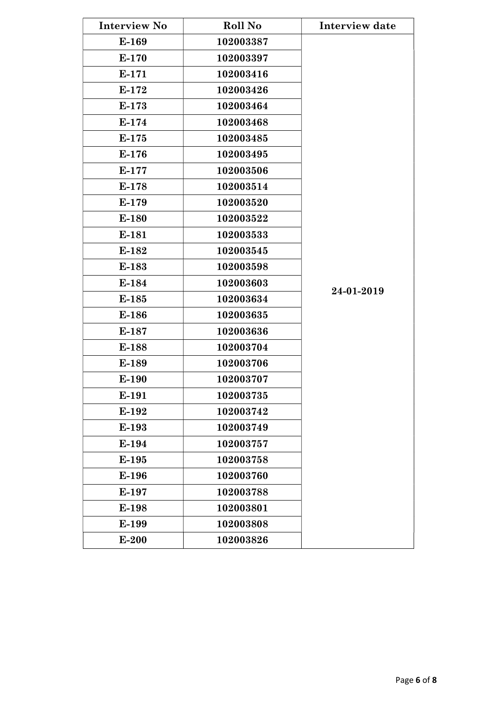| <b>Interview No</b> | Roll No   | Interview date |
|---------------------|-----------|----------------|
| E-169               | 102003387 |                |
| $E-170$             | 102003397 |                |
| $E-171$             | 102003416 |                |
| $E-172$             | 102003426 |                |
| $E-173$             | 102003464 |                |
| $E-174$             | 102003468 |                |
| $E-175$             | 102003485 |                |
| $E-176$             | 102003495 |                |
| $E-177$             | 102003506 |                |
| E-178               | 102003514 |                |
| E-179               | 102003520 |                |
| E-180               | 102003522 |                |
| E-181               | 102003533 |                |
| $E-182$             | 102003545 |                |
| E-183               | 102003598 |                |
| E-184               | 102003603 | 24-01-2019     |
| $E-185$             | 102003634 |                |
| E-186               | 102003635 |                |
| $E-187$             | 102003636 |                |
| E-188               | 102003704 |                |
| E-189               | 102003706 |                |
| E-190               | 102003707 |                |
| E-191               | 102003735 |                |
| E-192               | 102003742 |                |
| E-193               | 102003749 |                |
| E-194               | 102003757 |                |
| $E-195$             | 102003758 |                |
| $E-196$             | 102003760 |                |
| $E-197$             | 102003788 |                |
| E-198               | 102003801 |                |
| E-199               | 102003808 |                |
| $E-200$             | 102003826 |                |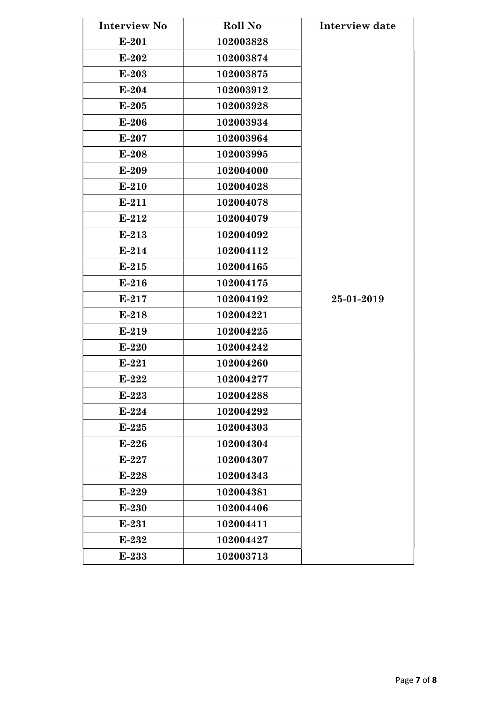| <b>Interview No</b> | Roll No   | Interview date |
|---------------------|-----------|----------------|
| $E-201$             | 102003828 |                |
| $E-202$             | 102003874 |                |
| $E-203$             | 102003875 |                |
| $E-204$             | 102003912 |                |
| $E-205$             | 102003928 |                |
| $E-206$             | 102003934 |                |
| $E-207$             | 102003964 |                |
| $E-208$             | 102003995 |                |
| $E-209$             | 102004000 |                |
| $E-210$             | 102004028 |                |
| $E-211$             | 102004078 |                |
| $E-212$             | 102004079 |                |
| $E-213$             | 102004092 |                |
| $E-214$             | 102004112 |                |
| $E-215$             | 102004165 |                |
| $E-216$             | 102004175 |                |
| $E-217$             | 102004192 | 25-01-2019     |
| $E-218$             | 102004221 |                |
| $E-219$             | 102004225 |                |
| $E-220$             | 102004242 |                |
| $E-221$             | 102004260 |                |
| $E-222$             | 102004277 |                |
| $E-223$             | 102004288 |                |
| $E-224$             | 102004292 |                |
| $E-225$             | 102004303 |                |
| $E-226$             | 102004304 |                |
| $E-227$             | 102004307 |                |
| $E-228$             | 102004343 |                |
| $E-229$             | 102004381 |                |
| $E-230$             | 102004406 |                |
| $E-231$             | 102004411 |                |
| $E-232$             | 102004427 |                |
| $E-233$             | 102003713 |                |